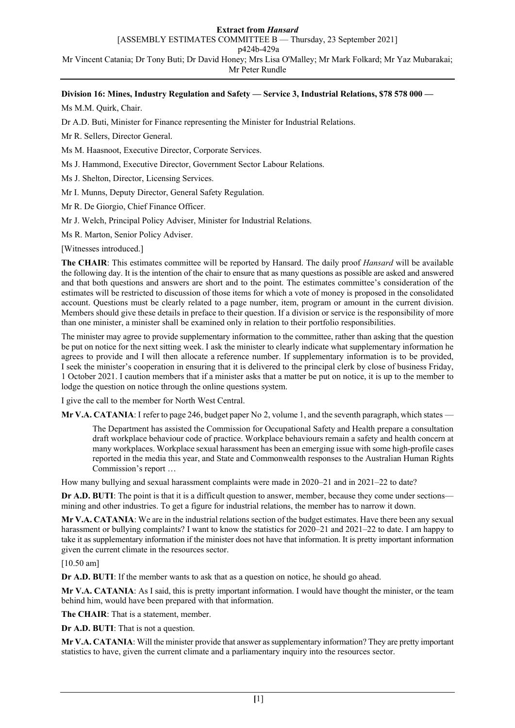## **Extract from** *Hansard*

[ASSEMBLY ESTIMATES COMMITTEE B — Thursday, 23 September 2021]

p424b-429a

Mr Vincent Catania; Dr Tony Buti; Dr David Honey; Mrs Lisa O'Malley; Mr Mark Folkard; Mr Yaz Mubarakai; Mr Peter Rundle

# **Division 16: Mines, Industry Regulation and Safety — Service 3, Industrial Relations, \$78 578 000 —**

Ms M.M. Quirk, Chair.

Dr A.D. Buti, Minister for Finance representing the Minister for Industrial Relations.

Mr R. Sellers, Director General.

Ms M. Haasnoot, Executive Director, Corporate Services.

Ms J. Hammond, Executive Director, Government Sector Labour Relations.

Ms J. Shelton, Director, Licensing Services.

Mr I. Munns, Deputy Director, General Safety Regulation.

Mr R. De Giorgio, Chief Finance Officer.

Mr J. Welch, Principal Policy Adviser, Minister for Industrial Relations.

Ms R. Marton, Senior Policy Adviser.

[Witnesses introduced.]

**The CHAIR**: This estimates committee will be reported by Hansard. The daily proof *Hansard* will be available the following day. It is the intention of the chair to ensure that as many questions as possible are asked and answered and that both questions and answers are short and to the point. The estimates committee's consideration of the estimates will be restricted to discussion of those items for which a vote of money is proposed in the consolidated account. Questions must be clearly related to a page number, item, program or amount in the current division. Members should give these details in preface to their question. If a division or service is the responsibility of more than one minister, a minister shall be examined only in relation to their portfolio responsibilities.

The minister may agree to provide supplementary information to the committee, rather than asking that the question be put on notice for the next sitting week. I ask the minister to clearly indicate what supplementary information he agrees to provide and I will then allocate a reference number. If supplementary information is to be provided, I seek the minister's cooperation in ensuring that it is delivered to the principal clerk by close of business Friday, 1 October 2021. I caution members that if a minister asks that a matter be put on notice, it is up to the member to lodge the question on notice through the online questions system.

I give the call to the member for North West Central.

**Mr V.A. CATANIA**: I refer to page 246, budget paper No 2, volume 1, and the seventh paragraph, which states —

The Department has assisted the Commission for Occupational Safety and Health prepare a consultation draft workplace behaviour code of practice. Workplace behaviours remain a safety and health concern at many workplaces. Workplace sexual harassment has been an emerging issue with some high-profile cases reported in the media this year, and State and Commonwealth responses to the Australian Human Rights Commission's report …

How many bullying and sexual harassment complaints were made in 2020–21 and in 2021–22 to date?

**Dr A.D. BUTI:** The point is that it is a difficult question to answer, member, because they come under sections mining and other industries. To get a figure for industrial relations, the member has to narrow it down.

**Mr V.A. CATANIA**: We are in the industrial relations section of the budget estimates. Have there been any sexual harassment or bullying complaints? I want to know the statistics for 2020–21 and 2021–22 to date. I am happy to take it as supplementary information if the minister does not have that information. It is pretty important information given the current climate in the resources sector.

[10.50 am]

**Dr A.D. BUTI:** If the member wants to ask that as a question on notice, he should go ahead.

**Mr V.A. CATANIA**: As I said, this is pretty important information. I would have thought the minister, or the team behind him, would have been prepared with that information.

**The CHAIR**: That is a statement, member.

**Dr A.D. BUTI**: That is not a question.

**Mr V.A. CATANIA**: Will the minister provide that answer as supplementary information? They are pretty important statistics to have, given the current climate and a parliamentary inquiry into the resources sector.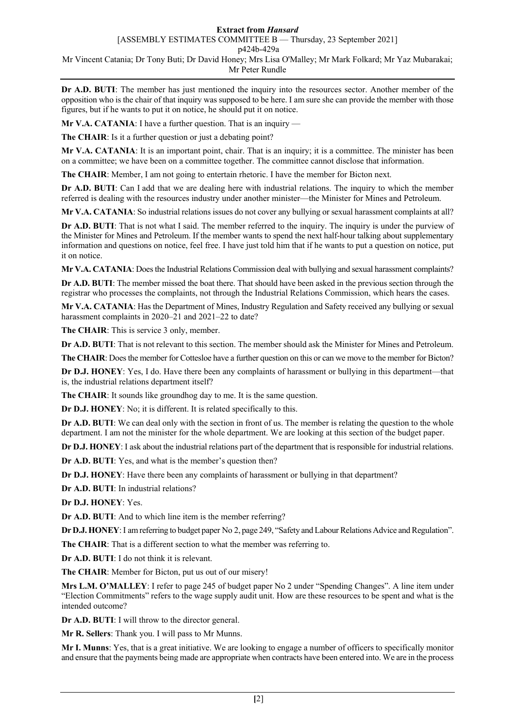## **Extract from** *Hansard*

[ASSEMBLY ESTIMATES COMMITTEE B — Thursday, 23 September 2021]

p424b-429a

Mr Vincent Catania; Dr Tony Buti; Dr David Honey; Mrs Lisa O'Malley; Mr Mark Folkard; Mr Yaz Mubarakai; Mr Peter Rundle

**Dr A.D. BUTI**: The member has just mentioned the inquiry into the resources sector. Another member of the opposition who is the chair of that inquiry was supposed to be here. I am sure she can provide the member with those figures, but if he wants to put it on notice, he should put it on notice.

**Mr V.A. CATANIA:** I have a further question. That is an inquiry -

**The CHAIR**: Is it a further question or just a debating point?

**Mr V.A. CATANIA**: It is an important point, chair. That is an inquiry; it is a committee. The minister has been on a committee; we have been on a committee together. The committee cannot disclose that information.

**The CHAIR**: Member, I am not going to entertain rhetoric. I have the member for Bicton next.

**Dr A.D. BUTI**: Can I add that we are dealing here with industrial relations. The inquiry to which the member referred is dealing with the resources industry under another minister—the Minister for Mines and Petroleum.

**Mr V.A. CATANIA**: So industrial relations issues do not cover any bullying or sexual harassment complaints at all?

**Dr A.D. BUTI**: That is not what I said. The member referred to the inquiry. The inquiry is under the purview of the Minister for Mines and Petroleum. If the member wants to spend the next half-hour talking about supplementary information and questions on notice, feel free. I have just told him that if he wants to put a question on notice, put it on notice.

**Mr V.A. CATANIA**: Does the Industrial Relations Commission deal with bullying and sexual harassment complaints?

**Dr A.D. BUTI**: The member missed the boat there. That should have been asked in the previous section through the registrar who processes the complaints, not through the Industrial Relations Commission, which hears the cases.

**Mr V.A. CATANIA**: Has the Department of Mines, Industry Regulation and Safety received any bullying or sexual harassment complaints in 2020–21 and 2021–22 to date?

**The CHAIR**: This is service 3 only, member.

**Dr A.D. BUTI**: That is not relevant to this section. The member should ask the Minister for Mines and Petroleum.

**The CHAIR**: Does the member for Cottesloe have a further question on this or can we move to the member for Bicton?

**Dr D.J. HONEY**: Yes, I do. Have there been any complaints of harassment or bullying in this department—that is, the industrial relations department itself?

**The CHAIR:** It sounds like groundhog day to me. It is the same question.

**Dr D.J. HONEY**: No; it is different. It is related specifically to this.

**Dr A.D. BUTI**: We can deal only with the section in front of us. The member is relating the question to the whole department. I am not the minister for the whole department. We are looking at this section of the budget paper.

**Dr D.J. HONEY**: I ask about the industrial relations part of the department that is responsible for industrial relations.

**Dr A.D. BUTI**: Yes, and what is the member's question then?

**Dr D.J. HONEY**: Have there been any complaints of harassment or bullying in that department?

**Dr A.D. BUTI**: In industrial relations?

**Dr D.J. HONEY**: Yes.

**Dr A.D. BUTI**: And to which line item is the member referring?

**Dr D.J. HONEY**:I am referring to budget paper No 2, page 249, "Safety and Labour Relations Advice and Regulation".

**The CHAIR**: That is a different section to what the member was referring to.

**Dr A.D. BUTI**: I do not think it is relevant.

**The CHAIR**: Member for Bicton, put us out of our misery!

**Mrs L.M. O'MALLEY**: I refer to page 245 of budget paper No 2 under "Spending Changes". A line item under "Election Commitments" refers to the wage supply audit unit. How are these resources to be spent and what is the intended outcome?

**Dr A.D. BUTI**: I will throw to the director general.

**Mr R. Sellers**: Thank you. I will pass to Mr Munns.

**Mr I. Munns**: Yes, that is a great initiative. We are looking to engage a number of officers to specifically monitor and ensure that the payments being made are appropriate when contracts have been entered into. We are in the process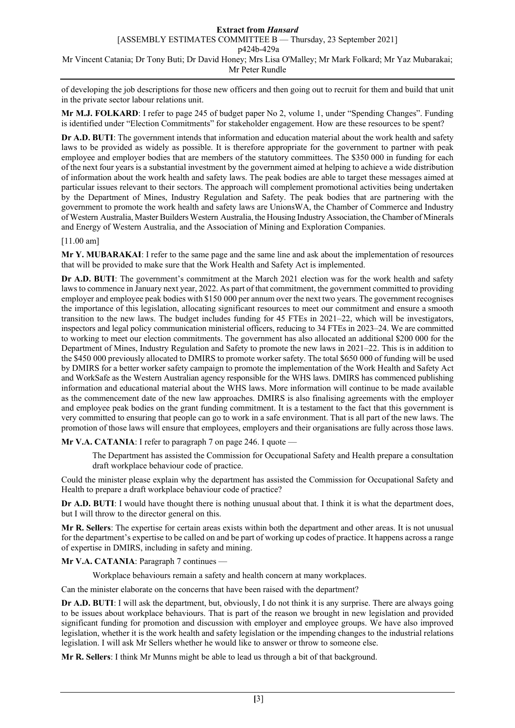## **Extract from** *Hansard* [ASSEMBLY ESTIMATES COMMITTEE B — Thursday, 23 September 2021] p424b-429a Mr Vincent Catania; Dr Tony Buti; Dr David Honey; Mrs Lisa O'Malley; Mr Mark Folkard; Mr Yaz Mubarakai; Mr Peter Rundle

of developing the job descriptions for those new officers and then going out to recruit for them and build that unit in the private sector labour relations unit.

**Mr M.J. FOLKARD**: I refer to page 245 of budget paper No 2, volume 1, under "Spending Changes". Funding is identified under "Election Commitments" for stakeholder engagement. How are these resources to be spent?

**Dr A.D. BUTI**: The government intends that information and education material about the work health and safety laws to be provided as widely as possible. It is therefore appropriate for the government to partner with peak employee and employer bodies that are members of the statutory committees. The \$350 000 in funding for each of the next four years is a substantial investment by the government aimed at helping to achieve a wide distribution of information about the work health and safety laws. The peak bodies are able to target these messages aimed at particular issues relevant to their sectors. The approach will complement promotional activities being undertaken by the Department of Mines, Industry Regulation and Safety. The peak bodies that are partnering with the government to promote the work health and safety laws are UnionsWA, the Chamber of Commerce and Industry of Western Australia, Master Builders Western Australia, the Housing Industry Association, the Chamber of Minerals and Energy of Western Australia, and the Association of Mining and Exploration Companies.

#### [11.00 am]

**Mr Y. MUBARAKAI**: I refer to the same page and the same line and ask about the implementation of resources that will be provided to make sure that the Work Health and Safety Act is implemented.

**Dr A.D. BUTI**: The government's commitment at the March 2021 election was for the work health and safety laws to commence in January next year, 2022. As part of that commitment, the government committed to providing employer and employee peak bodies with \$150 000 per annum over the next two years. The government recognises the importance of this legislation, allocating significant resources to meet our commitment and ensure a smooth transition to the new laws. The budget includes funding for 45 FTEs in 2021–22, which will be investigators, inspectors and legal policy communication ministerial officers, reducing to 34 FTEs in 2023–24. We are committed to working to meet our election commitments. The government has also allocated an additional \$200 000 for the Department of Mines, Industry Regulation and Safety to promote the new laws in 2021–22. This is in addition to the \$450 000 previously allocated to DMIRS to promote worker safety. The total \$650 000 of funding will be used by DMIRS for a better worker safety campaign to promote the implementation of the Work Health and Safety Act and WorkSafe as the Western Australian agency responsible for the WHS laws. DMIRS has commenced publishing information and educational material about the WHS laws. More information will continue to be made available as the commencement date of the new law approaches. DMIRS is also finalising agreements with the employer and employee peak bodies on the grant funding commitment. It is a testament to the fact that this government is very committed to ensuring that people can go to work in a safe environment. That is all part of the new laws. The promotion of those laws will ensure that employees, employers and their organisations are fully across those laws.

**Mr V.A. CATANIA**: I refer to paragraph 7 on page 246. I quote —

The Department has assisted the Commission for Occupational Safety and Health prepare a consultation draft workplace behaviour code of practice.

Could the minister please explain why the department has assisted the Commission for Occupational Safety and Health to prepare a draft workplace behaviour code of practice?

**Dr A.D. BUTI**: I would have thought there is nothing unusual about that. I think it is what the department does, but I will throw to the director general on this.

**Mr R. Sellers**: The expertise for certain areas exists within both the department and other areas. It is not unusual for the department's expertise to be called on and be part of working up codes of practice. It happens across a range of expertise in DMIRS, including in safety and mining.

**Mr V.A. CATANIA**: Paragraph 7 continues —

Workplace behaviours remain a safety and health concern at many workplaces.

Can the minister elaborate on the concerns that have been raised with the department?

**Dr A.D. BUTI**: I will ask the department, but, obviously, I do not think it is any surprise. There are always going to be issues about workplace behaviours. That is part of the reason we brought in new legislation and provided significant funding for promotion and discussion with employer and employee groups. We have also improved legislation, whether it is the work health and safety legislation or the impending changes to the industrial relations legislation. I will ask Mr Sellers whether he would like to answer or throw to someone else.

**Mr R. Sellers**: I think Mr Munns might be able to lead us through a bit of that background.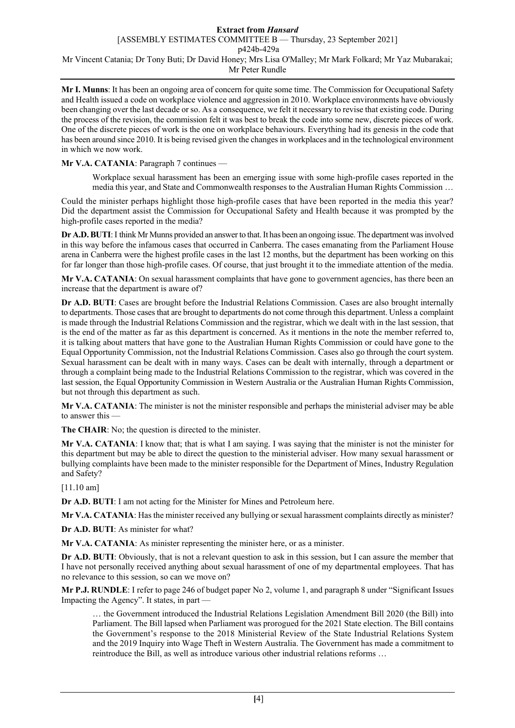#### **Extract from** *Hansard* [ASSEMBLY ESTIMATES COMMITTEE B — Thursday, 23 September 2021] p424b-429a Mr Vincent Catania; Dr Tony Buti; Dr David Honey; Mrs Lisa O'Malley; Mr Mark Folkard; Mr Yaz Mubarakai; Mr Peter Rundle

**Mr I. Munns**: It has been an ongoing area of concern for quite some time. The Commission for Occupational Safety and Health issued a code on workplace violence and aggression in 2010. Workplace environments have obviously been changing over the last decade or so. As a consequence, we felt it necessary to revise that existing code. During the process of the revision, the commission felt it was best to break the code into some new, discrete pieces of work. One of the discrete pieces of work is the one on workplace behaviours. Everything had its genesis in the code that has been around since 2010. It is being revised given the changes in workplaces and in the technological environment in which we now work.

**Mr V.A. CATANIA**: Paragraph 7 continues —

Workplace sexual harassment has been an emerging issue with some high-profile cases reported in the media this year, and State and Commonwealth responses to the Australian Human Rights Commission …

Could the minister perhaps highlight those high-profile cases that have been reported in the media this year? Did the department assist the Commission for Occupational Safety and Health because it was prompted by the high-profile cases reported in the media?

**Dr A.D. BUTI**:I think Mr Munns provided an answer to that. It has been an ongoing issue. The department was involved in this way before the infamous cases that occurred in Canberra. The cases emanating from the Parliament House arena in Canberra were the highest profile cases in the last 12 months, but the department has been working on this for far longer than those high-profile cases. Of course, that just brought it to the immediate attention of the media.

**Mr V.A. CATANIA**: On sexual harassment complaints that have gone to government agencies, has there been an increase that the department is aware of?

**Dr A.D. BUTI**: Cases are brought before the Industrial Relations Commission. Cases are also brought internally to departments. Those cases that are brought to departments do not come through this department. Unless a complaint is made through the Industrial Relations Commission and the registrar, which we dealt with in the last session, that is the end of the matter as far as this department is concerned. As it mentions in the note the member referred to, it is talking about matters that have gone to the Australian Human Rights Commission or could have gone to the Equal Opportunity Commission, not the Industrial Relations Commission. Cases also go through the court system. Sexual harassment can be dealt with in many ways. Cases can be dealt with internally, through a department or through a complaint being made to the Industrial Relations Commission to the registrar, which was covered in the last session, the Equal Opportunity Commission in Western Australia or the Australian Human Rights Commission, but not through this department as such.

**Mr V.A. CATANIA**: The minister is not the minister responsible and perhaps the ministerial adviser may be able to answer this —

**The CHAIR**: No; the question is directed to the minister.

**Mr V.A. CATANIA**: I know that; that is what I am saying. I was saying that the minister is not the minister for this department but may be able to direct the question to the ministerial adviser. How many sexual harassment or bullying complaints have been made to the minister responsible for the Department of Mines, Industry Regulation and Safety?

[11.10 am]

**Dr A.D. BUTI**: I am not acting for the Minister for Mines and Petroleum here.

**Mr V.A. CATANIA**: Has the minister received any bullying or sexual harassment complaints directly as minister?

**Dr A.D. BUTI**: As minister for what?

**Mr V.A. CATANIA**: As minister representing the minister here, or as a minister.

**Dr A.D. BUTI**: Obviously, that is not a relevant question to ask in this session, but I can assure the member that I have not personally received anything about sexual harassment of one of my departmental employees. That has no relevance to this session, so can we move on?

**Mr P.J. RUNDLE**: I refer to page 246 of budget paper No 2, volume 1, and paragraph 8 under "Significant Issues Impacting the Agency". It states, in part —

… the Government introduced the Industrial Relations Legislation Amendment Bill 2020 (the Bill) into Parliament. The Bill lapsed when Parliament was prorogued for the 2021 State election. The Bill contains the Government's response to the 2018 Ministerial Review of the State Industrial Relations System and the 2019 Inquiry into Wage Theft in Western Australia. The Government has made a commitment to reintroduce the Bill, as well as introduce various other industrial relations reforms …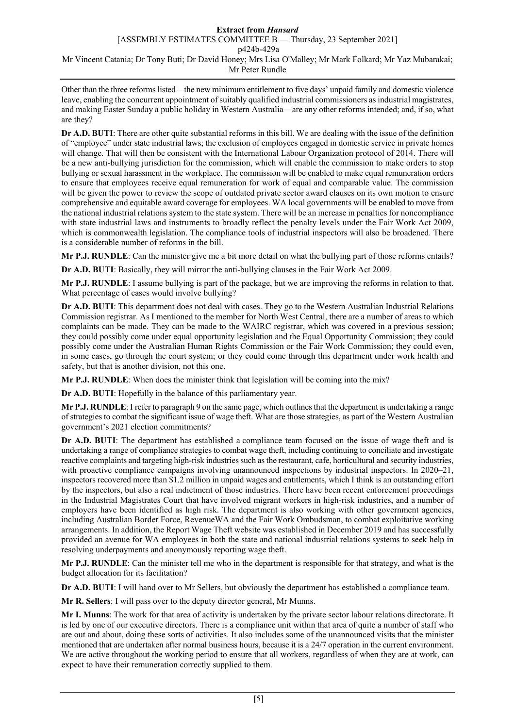## **Extract from** *Hansard*

[ASSEMBLY ESTIMATES COMMITTEE B — Thursday, 23 September 2021]

p424b-429a

Mr Vincent Catania; Dr Tony Buti; Dr David Honey; Mrs Lisa O'Malley; Mr Mark Folkard; Mr Yaz Mubarakai; Mr Peter Rundle

Other than the three reforms listed—the new minimum entitlement to five days' unpaid family and domestic violence leave, enabling the concurrent appointment of suitably qualified industrial commissioners as industrial magistrates, and making Easter Sunday a public holiday in Western Australia—are any other reforms intended; and, if so, what are they?

**Dr A.D. BUTI**: There are other quite substantial reforms in this bill. We are dealing with the issue of the definition of "employee" under state industrial laws; the exclusion of employees engaged in domestic service in private homes will change. That will then be consistent with the International Labour Organization protocol of 2014. There will be a new anti-bullying jurisdiction for the commission, which will enable the commission to make orders to stop bullying or sexual harassment in the workplace. The commission will be enabled to make equal remuneration orders to ensure that employees receive equal remuneration for work of equal and comparable value. The commission will be given the power to review the scope of outdated private sector award clauses on its own motion to ensure comprehensive and equitable award coverage for employees. WA local governments will be enabled to move from the national industrial relations system to the state system. There will be an increase in penalties for noncompliance with state industrial laws and instruments to broadly reflect the penalty levels under the Fair Work Act 2009, which is commonwealth legislation. The compliance tools of industrial inspectors will also be broadened. There is a considerable number of reforms in the bill.

**Mr P.J. RUNDLE**: Can the minister give me a bit more detail on what the bullying part of those reforms entails?

**Dr A.D. BUTI**: Basically, they will mirror the anti-bullying clauses in the Fair Work Act 2009.

**Mr P.J. RUNDLE**: I assume bullying is part of the package, but we are improving the reforms in relation to that. What percentage of cases would involve bullying?

**Dr A.D. BUTI**: This department does not deal with cases. They go to the Western Australian Industrial Relations Commission registrar. As I mentioned to the member for North West Central, there are a number of areas to which complaints can be made. They can be made to the WAIRC registrar, which was covered in a previous session; they could possibly come under equal opportunity legislation and the Equal Opportunity Commission; they could possibly come under the Australian Human Rights Commission or the Fair Work Commission; they could even, in some cases, go through the court system; or they could come through this department under work health and safety, but that is another division, not this one.

**Mr P.J. RUNDLE**: When does the minister think that legislation will be coming into the mix?

**Dr A.D. BUTI**: Hopefully in the balance of this parliamentary year.

**Mr P.J. RUNDLE**: I refer to paragraph 9 on the same page, which outlines that the department is undertaking a range of strategies to combat the significant issue of wage theft. What are those strategies, as part of the Western Australian government's 2021 election commitments?

**Dr A.D. BUTI**: The department has established a compliance team focused on the issue of wage theft and is undertaking a range of compliance strategies to combat wage theft, including continuing to conciliate and investigate reactive complaints and targeting high-risk industries such as the restaurant, cafe, horticultural and security industries, with proactive compliance campaigns involving unannounced inspections by industrial inspectors. In 2020–21, inspectors recovered more than \$1.2 million in unpaid wages and entitlements, which I think is an outstanding effort by the inspectors, but also a real indictment of those industries. There have been recent enforcement proceedings in the Industrial Magistrates Court that have involved migrant workers in high-risk industries, and a number of employers have been identified as high risk. The department is also working with other government agencies, including Australian Border Force, RevenueWA and the Fair Work Ombudsman, to combat exploitative working arrangements. In addition, the Report Wage Theft website was established in December 2019 and has successfully provided an avenue for WA employees in both the state and national industrial relations systems to seek help in resolving underpayments and anonymously reporting wage theft.

**Mr P.J. RUNDLE**: Can the minister tell me who in the department is responsible for that strategy, and what is the budget allocation for its facilitation?

**Dr A.D. BUTI**: I will hand over to Mr Sellers, but obviously the department has established a compliance team.

**Mr R. Sellers**: I will pass over to the deputy director general, Mr Munns.

**Mr I. Munns**: The work for that area of activity is undertaken by the private sector labour relations directorate. It is led by one of our executive directors. There is a compliance unit within that area of quite a number of staff who are out and about, doing these sorts of activities. It also includes some of the unannounced visits that the minister mentioned that are undertaken after normal business hours, because it is a 24/7 operation in the current environment. We are active throughout the working period to ensure that all workers, regardless of when they are at work, can expect to have their remuneration correctly supplied to them.